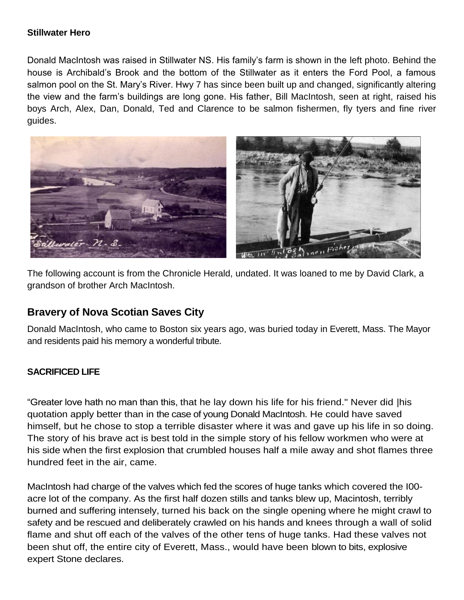## **Stillwater Hero**

Donald MacIntosh was raised in Stillwater NS. His family's farm is shown in the left photo. Behind the house is Archibald's Brook and the bottom of the Stillwater as it enters the Ford Pool, a famous salmon pool on the St. Mary's River. Hwy 7 has since been built up and changed, significantly altering the view and the farm's buildings are long gone. His father, Bill MacIntosh, seen at right, raised his boys Arch, Alex, Dan, Donald, Ted and Clarence to be salmon fishermen, fly tyers and fine river guides.



The following account is from the Chronicle Herald, undated. It was loaned to me by David Clark, a grandson of brother Arch MacIntosh.

## **Bravery of Nova Scotian Saves City**

Donald MacIntosh, who came to Boston six years ago, was buried today in Everett, Mass. The Mayor and residents paid his memory a wonderful tribute.

## **SACRIFICED LIFE**

"Greater love hath no man than this, that he lay down his life for his friend." Never did |his quotation apply better than in the case of young Donald MacIntosh. He could have saved himself, but he chose to stop a terrible disaster where it was and gave up his life in so doing. The story of his brave act is best told in the simple story of his fellow workmen who were at his side when the first explosion that crumbled houses half a mile away and shot flames three hundred feet in the air, came.

MacIntosh had charge of the valves which fed the scores of huge tanks which covered the I00 acre lot of the company. As the first half dozen stills and tanks blew up, Macintosh, terribly burned and suffering intensely, turned his back on the single opening where he might crawl to safety and be rescued and deliberately crawled on his hands and knees through a wall of solid flame and shut off each of the valves of the other tens of huge tanks. Had these valves not been shut off, the entire city of Everett, Mass., would have been blown to bits, explosive expert Stone declares.